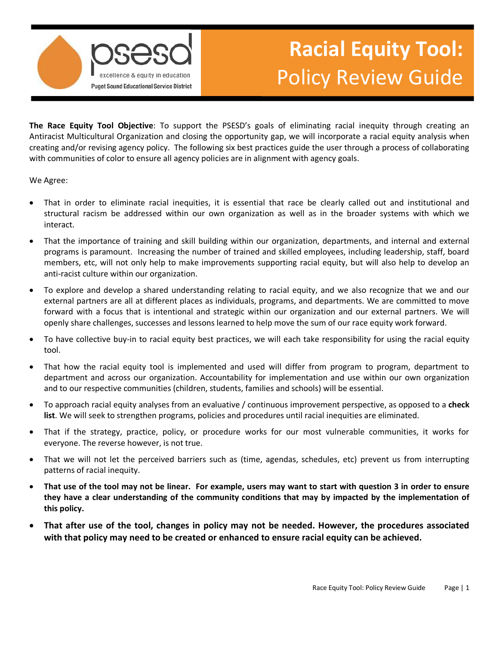

# **Racial Equity Tool:**  Policy Review Guide

 **The Race Equity Tool Objective**: To support the PSESD's goals of eliminating racial inequity through creating an Antiracist Multicultural Organization and closing the opportunity gap, we will incorporate a racial equity analysis when creating and/or revising agency policy. The following six best practices guide the user through a process of collaborating with communities of color to ensure all agency policies are in alignment with agency goals.

We Agree:

- interact. • That in order to eliminate racial inequities, it is essential that race be clearly called out and institutional and structural racism be addressed within our own organization as well as in the broader systems with which we
- That the importance of training and skill building within our organization, departments, and internal and external programs is paramount. Increasing the number of trained and skilled employees, including leadership, staff, board members, etc, will not only help to make improvements supporting racial equity, but will also help to develop an anti-racist culture within our organization.
- forward with a focus that is intentional and strategic within our organization and our external partners. We will • To explore and develop a shared understanding relating to racial equity, and we also recognize that we and our external partners are all at different places as individuals, programs, and departments. We are committed to move openly share challenges, successes and lessons learned to help move the sum of our race equity work forward.
- To have collective buy-in to racial equity best practices, we will each take responsibility for using the racial equity tool.
- That how the racial equity tool is implemented and used will differ from program to program, department to department and across our organization. Accountability for implementation and use within our own organization and to our respective communities (children, students, families and schools) will be essential.
- To approach racial equity analyses from an evaluative / continuous improvement perspective, as opposed to a **check list**. We will seek to strengthen programs, policies and procedures until racial inequities are eliminated.
- That if the strategy, practice, policy, or procedure works for our most vulnerable communities, it works for everyone. The reverse however, is not true.
- • That we will not let the perceived barriers such as (time, agendas, schedules, etc) prevent us from interrupting patterns of racial inequity.
- **That use of the tool may not be linear. For example, users may want to start with question 3 in order to ensure they have a clear understanding of the community conditions that may by impacted by the implementation of this policy.**
- **That after use of the tool, changes in policy may not be needed. However, the procedures associated with that policy may need to be created or enhanced to ensure racial equity can be achieved.**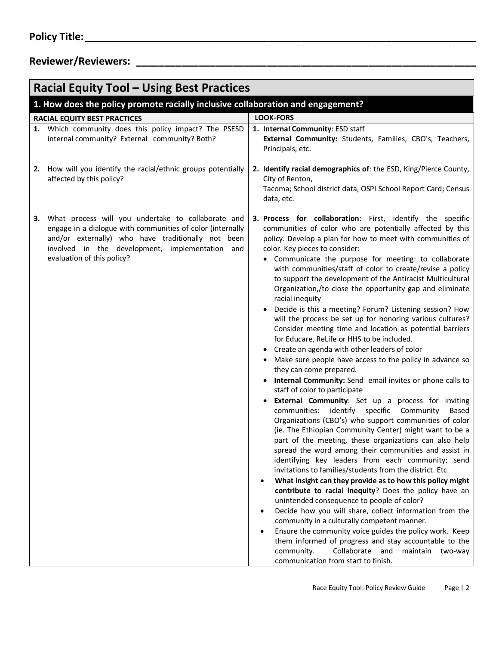| <b>Racial Equity Tool - Using Best Practices</b>                                                                                                                                                                                                              |                                                                                                                                                                                                                                                                                                                                                                                                                                                                                                                                                                                                                                                                                                                                                                                                                                                                                                                                                                                                                                                                                                                                                                                                                                                                                                                                                                                                                                                                                                                                                                                                                                                                                                                                                                                                                                                                                                                                     |  |  |  |  |  |
|---------------------------------------------------------------------------------------------------------------------------------------------------------------------------------------------------------------------------------------------------------------|-------------------------------------------------------------------------------------------------------------------------------------------------------------------------------------------------------------------------------------------------------------------------------------------------------------------------------------------------------------------------------------------------------------------------------------------------------------------------------------------------------------------------------------------------------------------------------------------------------------------------------------------------------------------------------------------------------------------------------------------------------------------------------------------------------------------------------------------------------------------------------------------------------------------------------------------------------------------------------------------------------------------------------------------------------------------------------------------------------------------------------------------------------------------------------------------------------------------------------------------------------------------------------------------------------------------------------------------------------------------------------------------------------------------------------------------------------------------------------------------------------------------------------------------------------------------------------------------------------------------------------------------------------------------------------------------------------------------------------------------------------------------------------------------------------------------------------------------------------------------------------------------------------------------------------------|--|--|--|--|--|
| 1. How does the policy promote racially inclusive collaboration and engagement?                                                                                                                                                                               |                                                                                                                                                                                                                                                                                                                                                                                                                                                                                                                                                                                                                                                                                                                                                                                                                                                                                                                                                                                                                                                                                                                                                                                                                                                                                                                                                                                                                                                                                                                                                                                                                                                                                                                                                                                                                                                                                                                                     |  |  |  |  |  |
| <b>RACIAL EQUITY BEST PRACTICES</b>                                                                                                                                                                                                                           | <b>LOOK-FORS</b>                                                                                                                                                                                                                                                                                                                                                                                                                                                                                                                                                                                                                                                                                                                                                                                                                                                                                                                                                                                                                                                                                                                                                                                                                                                                                                                                                                                                                                                                                                                                                                                                                                                                                                                                                                                                                                                                                                                    |  |  |  |  |  |
| 1. Which community does this policy impact? The PSESD<br>internal community? External community? Both?                                                                                                                                                        | 1. Internal Community: ESD staff<br>External Community: Students, Families, CBO's, Teachers,<br>Principals, etc.                                                                                                                                                                                                                                                                                                                                                                                                                                                                                                                                                                                                                                                                                                                                                                                                                                                                                                                                                                                                                                                                                                                                                                                                                                                                                                                                                                                                                                                                                                                                                                                                                                                                                                                                                                                                                    |  |  |  |  |  |
| 2. How will you identify the racial/ethnic groups potentially<br>affected by this policy?                                                                                                                                                                     | 2. Identify racial demographics of: the ESD, King/Pierce County,<br>City of Renton,<br>Tacoma; School district data, OSPI School Report Card; Census<br>data, etc.                                                                                                                                                                                                                                                                                                                                                                                                                                                                                                                                                                                                                                                                                                                                                                                                                                                                                                                                                                                                                                                                                                                                                                                                                                                                                                                                                                                                                                                                                                                                                                                                                                                                                                                                                                  |  |  |  |  |  |
| What process will you undertake to collaborate and<br>3.<br>engage in a dialogue with communities of color (internally<br>and/or externally) who have traditionally not been<br>involved in the development, implementation and<br>evaluation of this policy? | 3. Process for collaboration: First, identify the specific<br>communities of color who are potentially affected by this<br>policy. Develop a plan for how to meet with communities of<br>color. Key pieces to consider:<br>Communicate the purpose for meeting: to collaborate<br>with communities/staff of color to create/revise a policy<br>to support the development of the Antiracist Multicultural<br>Organization,/to close the opportunity gap and eliminate<br>racial inequity<br>Decide is this a meeting? Forum? Listening session? How<br>will the process be set up for honoring various cultures?<br>Consider meeting time and location as potential barriers<br>for Educare, ReLife or HHS to be included.<br>Create an agenda with other leaders of color<br>Make sure people have access to the policy in advance so<br>they can come prepared.<br>Internal Community: Send email invites or phone calls to<br>staff of color to participate<br>External Community: Set up a process for inviting<br>identify specific<br>Community<br>communities:<br>Based<br>Organizations (CBO's) who support communities of color<br>(ie. The Ethiopian Community Center) might want to be a<br>part of the meeting, these organizations can also help<br>spread the word among their communities and assist in<br>identifying key leaders from each community; send<br>invitations to families/students from the district. Etc.<br>What insight can they provide as to how this policy might<br>contribute to racial inequity? Does the policy have an<br>unintended consequence to people of color?<br>Decide how you will share, collect information from the<br>community in a culturally competent manner.<br>Ensure the community voice guides the policy work. Keep<br>them informed of progress and stay accountable to the<br>Collaborate and maintain two-way<br>community.<br>communication from start to finish. |  |  |  |  |  |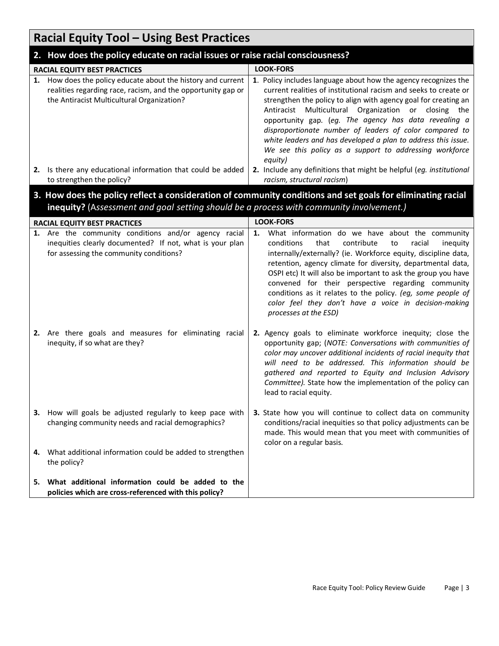|    | <b>Racial Equity Tool - Using Best Practices</b>                                                                                                                                                       |                                                                                                                                                                                                                                                                                                                                                                                                                                                                                                                                |  |  |  |
|----|--------------------------------------------------------------------------------------------------------------------------------------------------------------------------------------------------------|--------------------------------------------------------------------------------------------------------------------------------------------------------------------------------------------------------------------------------------------------------------------------------------------------------------------------------------------------------------------------------------------------------------------------------------------------------------------------------------------------------------------------------|--|--|--|
|    | 2. How does the policy educate on racial issues or raise racial consciousness?                                                                                                                         |                                                                                                                                                                                                                                                                                                                                                                                                                                                                                                                                |  |  |  |
|    | RACIAL EQUITY BEST PRACTICES                                                                                                                                                                           | <b>LOOK-FORS</b>                                                                                                                                                                                                                                                                                                                                                                                                                                                                                                               |  |  |  |
| 1. | How does the policy educate about the history and current<br>realities regarding race, racism, and the opportunity gap or<br>the Antiracist Multicultural Organization?                                | 1. Policy includes language about how the agency recognizes the<br>current realities of institutional racism and seeks to create or<br>strengthen the policy to align with agency goal for creating an<br>Antiracist Multicultural Organization or closing the<br>opportunity gap. (eg. The agency has data revealing a<br>disproportionate number of leaders of color compared to<br>white leaders and has developed a plan to address this issue.<br>We see this policy as a support to addressing workforce<br>equity)      |  |  |  |
| 2. | Is there any educational information that could be added<br>to strengthen the policy?                                                                                                                  | 2. Include any definitions that might be helpful (eg. institutional<br>racism, structural racism)                                                                                                                                                                                                                                                                                                                                                                                                                              |  |  |  |
|    | 3. How does the policy reflect a consideration of community conditions and set goals for eliminating racial<br>inequity? (Assessment and goal setting should be a process with community involvement.) |                                                                                                                                                                                                                                                                                                                                                                                                                                                                                                                                |  |  |  |
|    | RACIAL EQUITY BEST PRACTICES                                                                                                                                                                           | <b>LOOK-FORS</b>                                                                                                                                                                                                                                                                                                                                                                                                                                                                                                               |  |  |  |
|    | 1. Are the community conditions and/or agency racial<br>inequities clearly documented? If not, what is your plan<br>for assessing the community conditions?                                            | What information do we have about the community<br>1.<br>conditions<br>contribute<br>racial<br>that<br>to<br>inequity<br>internally/externally? (ie. Workforce equity, discipline data,<br>retention, agency climate for diversity, departmental data,<br>OSPI etc) It will also be important to ask the group you have<br>convened for their perspective regarding community<br>conditions as it relates to the policy. (eg, some people of<br>color feel they don't have a voice in decision-making<br>processes at the ESD) |  |  |  |
|    | 2. Are there goals and measures for eliminating racial<br>inequity, if so what are they?                                                                                                               | 2. Agency goals to eliminate workforce inequity; close the<br>opportunity gap; (NOTE: Conversations with communities of<br>color may uncover additional incidents of racial inequity that<br>will need to be addressed. This information should be<br>gathered and reported to Equity and Inclusion Advisory<br>Committee). State how the implementation of the policy can<br>lead to racial equity.                                                                                                                           |  |  |  |
| З. | How will goals be adjusted regularly to keep pace with<br>changing community needs and racial demographics?                                                                                            | 3. State how you will continue to collect data on community<br>conditions/racial inequities so that policy adjustments can be<br>made. This would mean that you meet with communities of<br>color on a regular basis.                                                                                                                                                                                                                                                                                                          |  |  |  |
| 4. | What additional information could be added to strengthen<br>the policy?                                                                                                                                |                                                                                                                                                                                                                                                                                                                                                                                                                                                                                                                                |  |  |  |
| 5. | What additional information could be added to the<br>policies which are cross-referenced with this policy?                                                                                             |                                                                                                                                                                                                                                                                                                                                                                                                                                                                                                                                |  |  |  |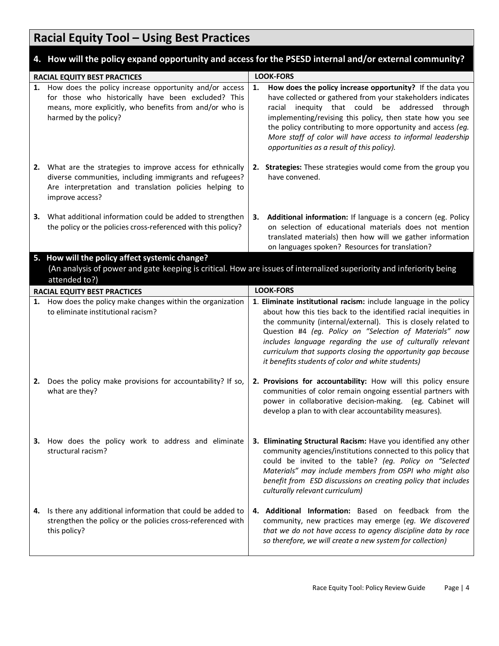## **Racial Equity Tool – Using Best Practices**

### **4. How will the policy expand opportunity and access for the PSESD internal and/or external community?**

| <b>RACIAL EQUITY BEST PRACTICES</b>                                                                                                                                                     |                                                                                                                                                                                                      | <b>LOOK-FORS</b> |                                                                                                                                                                                                                                                                                                                                                                                                                                                     |  |
|-----------------------------------------------------------------------------------------------------------------------------------------------------------------------------------------|------------------------------------------------------------------------------------------------------------------------------------------------------------------------------------------------------|------------------|-----------------------------------------------------------------------------------------------------------------------------------------------------------------------------------------------------------------------------------------------------------------------------------------------------------------------------------------------------------------------------------------------------------------------------------------------------|--|
|                                                                                                                                                                                         | 1. How does the policy increase opportunity and/or access<br>for those who historically have been excluded? This<br>means, more explicitly, who benefits from and/or who is<br>harmed by the policy? | 1.               | How does the policy increase opportunity? If the data you<br>have collected or gathered from your stakeholders indicates<br>inequity that could be addressed through<br>racial<br>implementing/revising this policy, then state how you see<br>the policy contributing to more opportunity and access (eg.<br>More staff of color will have access to informal leadership<br>opportunities as a result of this policy).                             |  |
|                                                                                                                                                                                         | 2. What are the strategies to improve access for ethnically<br>diverse communities, including immigrants and refugees?<br>Are interpretation and translation policies helping to<br>improve access?  | 2.               | Strategies: These strategies would come from the group you<br>have convened.                                                                                                                                                                                                                                                                                                                                                                        |  |
| З.                                                                                                                                                                                      | What additional information could be added to strengthen<br>the policy or the policies cross-referenced with this policy?                                                                            | З.               | Additional information: If language is a concern (eg. Policy<br>on selection of educational materials does not mention<br>translated materials) then how will we gather information<br>on languages spoken? Resources for translation?                                                                                                                                                                                                              |  |
| 5. How will the policy affect systemic change?<br>(An analysis of power and gate keeping is critical. How are issues of internalized superiority and inferiority being<br>attended to?) |                                                                                                                                                                                                      |                  |                                                                                                                                                                                                                                                                                                                                                                                                                                                     |  |
|                                                                                                                                                                                         | <b>RACIAL EQUITY BEST PRACTICES</b>                                                                                                                                                                  |                  | <b>LOOK-FORS</b>                                                                                                                                                                                                                                                                                                                                                                                                                                    |  |
|                                                                                                                                                                                         | 1. How does the policy make changes within the organization<br>to eliminate institutional racism?                                                                                                    |                  | 1. Eliminate institutional racism: include language in the policy<br>about how this ties back to the identified racial inequities in<br>the community (internal/external). This is closely related to<br>Question #4 (eg. Policy on "Selection of Materials" now<br>includes language regarding the use of culturally relevant<br>curriculum that supports closing the opportunity gap because<br>it benefits students of color and white students) |  |
|                                                                                                                                                                                         | 2. Does the policy make provisions for accountability? If so,<br>what are they?                                                                                                                      |                  | 2. Provisions for accountability: How will this policy ensure<br>communities of color remain ongoing essential partners with<br>power in collaborative decision-making. (eg. Cabinet will<br>develop a plan to with clear accountability measures).                                                                                                                                                                                                 |  |
|                                                                                                                                                                                         | 3. How does the policy work to address and eliminate<br>structural racism?                                                                                                                           |                  | 3. Eliminating Structural Racism: Have you identified any other<br>community agencies/institutions connected to this policy that<br>could be invited to the table? (eg. Policy on "Selected<br>Materials" may include members from OSPI who might also<br>benefit from ESD discussions on creating policy that includes<br>culturally relevant curriculum)                                                                                          |  |
| 4.                                                                                                                                                                                      | Is there any additional information that could be added to<br>strengthen the policy or the policies cross-referenced with<br>this policy?                                                            |                  | 4. Additional Information: Based on feedback from the<br>community, new practices may emerge (eg. We discovered<br>that we do not have access to agency discipline data by race<br>so therefore, we will create a new system for collection)                                                                                                                                                                                                        |  |